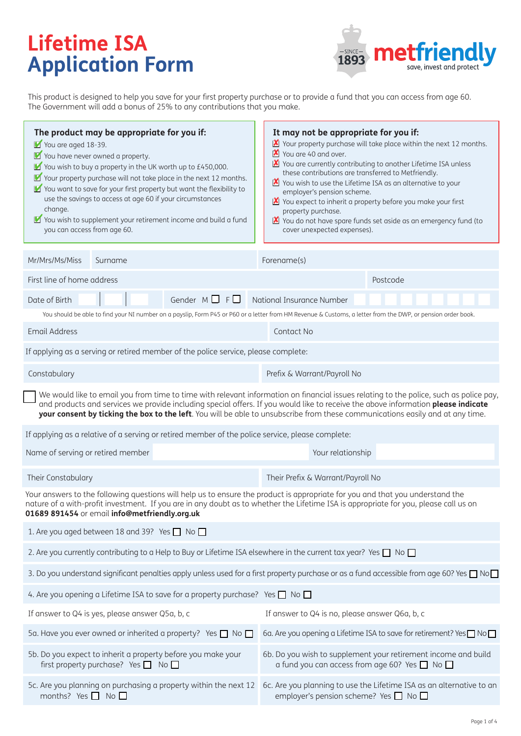# **Lifetime ISA Application Form**



This product is designed to help you save for your first property purchase or to provide a fund that you can access from age 60. The Government will add a bonus of 25% to any contributions that you make.

| The product may be appropriate for you if:<br>You are aged 18-39.<br>You have never owned a property.<br>$\blacksquare$ You wish to buy a property in the UK worth up to £450,000.<br>■ Your property purchase will not take place in the next 12 months.<br>You want to save for your first property but want the flexibility to<br>use the savings to access at age 60 if your circumstances<br>change.<br>■ You wish to supplement your retirement income and build a fund<br>you can access from age 60. |                                                                                                                                                                                                                                                                                                                                                                                                               | It may not be appropriate for you if:<br>Your property purchase will take place within the next 12 months.<br>You are 40 and over.<br>You are currently contributing to another Lifetime ISA unless<br>these contributions are transferred to Metfriendly.<br>You wish to use the Lifetime ISA as an alternative to your<br>employer's pension scheme.<br>You expect to inherit a property before you make your first<br>property purchase.<br>You do not have spare funds set aside as an emergency fund (to<br>cover unexpected expenses). |          |  |  |  |
|--------------------------------------------------------------------------------------------------------------------------------------------------------------------------------------------------------------------------------------------------------------------------------------------------------------------------------------------------------------------------------------------------------------------------------------------------------------------------------------------------------------|---------------------------------------------------------------------------------------------------------------------------------------------------------------------------------------------------------------------------------------------------------------------------------------------------------------------------------------------------------------------------------------------------------------|----------------------------------------------------------------------------------------------------------------------------------------------------------------------------------------------------------------------------------------------------------------------------------------------------------------------------------------------------------------------------------------------------------------------------------------------------------------------------------------------------------------------------------------------|----------|--|--|--|
| Mr/Mrs/Ms/Miss<br>Surname                                                                                                                                                                                                                                                                                                                                                                                                                                                                                    | Forename(s)                                                                                                                                                                                                                                                                                                                                                                                                   |                                                                                                                                                                                                                                                                                                                                                                                                                                                                                                                                              |          |  |  |  |
| First line of home address                                                                                                                                                                                                                                                                                                                                                                                                                                                                                   |                                                                                                                                                                                                                                                                                                                                                                                                               |                                                                                                                                                                                                                                                                                                                                                                                                                                                                                                                                              | Postcode |  |  |  |
| Gender $M \Box F \Box$<br>Date of Birth<br>National Insurance Number                                                                                                                                                                                                                                                                                                                                                                                                                                         |                                                                                                                                                                                                                                                                                                                                                                                                               |                                                                                                                                                                                                                                                                                                                                                                                                                                                                                                                                              |          |  |  |  |
| You should be able to find your NI number on a payslip, Form P45 or P60 or a letter from HM Revenue & Customs, a letter from the DWP, or pension order book.                                                                                                                                                                                                                                                                                                                                                 |                                                                                                                                                                                                                                                                                                                                                                                                               |                                                                                                                                                                                                                                                                                                                                                                                                                                                                                                                                              |          |  |  |  |
| <b>Email Address</b>                                                                                                                                                                                                                                                                                                                                                                                                                                                                                         |                                                                                                                                                                                                                                                                                                                                                                                                               | Contact No                                                                                                                                                                                                                                                                                                                                                                                                                                                                                                                                   |          |  |  |  |
|                                                                                                                                                                                                                                                                                                                                                                                                                                                                                                              | If applying as a serving or retired member of the police service, please complete:                                                                                                                                                                                                                                                                                                                            |                                                                                                                                                                                                                                                                                                                                                                                                                                                                                                                                              |          |  |  |  |
| Constabulary                                                                                                                                                                                                                                                                                                                                                                                                                                                                                                 |                                                                                                                                                                                                                                                                                                                                                                                                               | Prefix & Warrant/Payroll No                                                                                                                                                                                                                                                                                                                                                                                                                                                                                                                  |          |  |  |  |
|                                                                                                                                                                                                                                                                                                                                                                                                                                                                                                              | We would like to email you from time to time with relevant information on financial issues relating to the police, such as police pay,<br>and products and services we provide including special offers. If you would like to receive the above information please indicate<br>your consent by ticking the box to the left. You will be able to unsubscribe from these communications easily and at any time. |                                                                                                                                                                                                                                                                                                                                                                                                                                                                                                                                              |          |  |  |  |
|                                                                                                                                                                                                                                                                                                                                                                                                                                                                                                              | If applying as a relative of a serving or retired member of the police service, please complete:                                                                                                                                                                                                                                                                                                              |                                                                                                                                                                                                                                                                                                                                                                                                                                                                                                                                              |          |  |  |  |
| Name of serving or retired member                                                                                                                                                                                                                                                                                                                                                                                                                                                                            |                                                                                                                                                                                                                                                                                                                                                                                                               | Your relationship                                                                                                                                                                                                                                                                                                                                                                                                                                                                                                                            |          |  |  |  |
| Their Constabulary                                                                                                                                                                                                                                                                                                                                                                                                                                                                                           |                                                                                                                                                                                                                                                                                                                                                                                                               | Their Prefix & Warrant/Payroll No                                                                                                                                                                                                                                                                                                                                                                                                                                                                                                            |          |  |  |  |
| 01689 891454 or email info@metfriendly.org.uk                                                                                                                                                                                                                                                                                                                                                                                                                                                                | Your answers to the following questions will help us to ensure the product is appropriate for you and that you understand the<br>nature of a with-profit investment. If you are in any doubt as to whether the Lifetime ISA is appropriate for you, please call us on                                                                                                                                         |                                                                                                                                                                                                                                                                                                                                                                                                                                                                                                                                              |          |  |  |  |
|                                                                                                                                                                                                                                                                                                                                                                                                                                                                                                              | 1. Are you aged between 18 and 39? Yes $\Box$ No $\Box$                                                                                                                                                                                                                                                                                                                                                       |                                                                                                                                                                                                                                                                                                                                                                                                                                                                                                                                              |          |  |  |  |
|                                                                                                                                                                                                                                                                                                                                                                                                                                                                                                              | 2. Are you currently contributing to a Help to Buy or Lifetime ISA elsewhere in the current tax year? Yes $\Box$ No $\Box$                                                                                                                                                                                                                                                                                    |                                                                                                                                                                                                                                                                                                                                                                                                                                                                                                                                              |          |  |  |  |
|                                                                                                                                                                                                                                                                                                                                                                                                                                                                                                              | 3. Do you understand significant penalties apply unless used for a first property purchase or as a fund accessible from age 60? Yes $\Box$ No $\Box$                                                                                                                                                                                                                                                          |                                                                                                                                                                                                                                                                                                                                                                                                                                                                                                                                              |          |  |  |  |
|                                                                                                                                                                                                                                                                                                                                                                                                                                                                                                              | 4. Are you opening a Lifetime ISA to save for a property purchase? Yes $\Box$ No $\Box$                                                                                                                                                                                                                                                                                                                       |                                                                                                                                                                                                                                                                                                                                                                                                                                                                                                                                              |          |  |  |  |
| If answer to Q4 is yes, please answer Q5a, b, c                                                                                                                                                                                                                                                                                                                                                                                                                                                              |                                                                                                                                                                                                                                                                                                                                                                                                               | If answer to Q4 is no, please answer Q6a, b, c                                                                                                                                                                                                                                                                                                                                                                                                                                                                                               |          |  |  |  |
| 5a. Have you ever owned or inherited a property? Yes □ No □                                                                                                                                                                                                                                                                                                                                                                                                                                                  |                                                                                                                                                                                                                                                                                                                                                                                                               | 6a. Are you opening a Lifetime ISA to save for retirement? Yes ■ No                                                                                                                                                                                                                                                                                                                                                                                                                                                                          |          |  |  |  |
| 5b. Do you expect to inherit a property before you make your<br>first property purchase? Yes $\Box$ No $\Box$                                                                                                                                                                                                                                                                                                                                                                                                |                                                                                                                                                                                                                                                                                                                                                                                                               | 6b. Do you wish to supplement your retirement income and build<br>a fund you can access from age 60? Yes ■ No                                                                                                                                                                                                                                                                                                                                                                                                                                |          |  |  |  |
| 5c. Are you planning on purchasing a property within the next 12<br>months? Yes $\Box$ No $\Box$                                                                                                                                                                                                                                                                                                                                                                                                             |                                                                                                                                                                                                                                                                                                                                                                                                               | 6c. Are you planning to use the Lifetime ISA as an alternative to an<br>employer's pension scheme? Yes $\Box$ No $\Box$                                                                                                                                                                                                                                                                                                                                                                                                                      |          |  |  |  |
|                                                                                                                                                                                                                                                                                                                                                                                                                                                                                                              |                                                                                                                                                                                                                                                                                                                                                                                                               |                                                                                                                                                                                                                                                                                                                                                                                                                                                                                                                                              |          |  |  |  |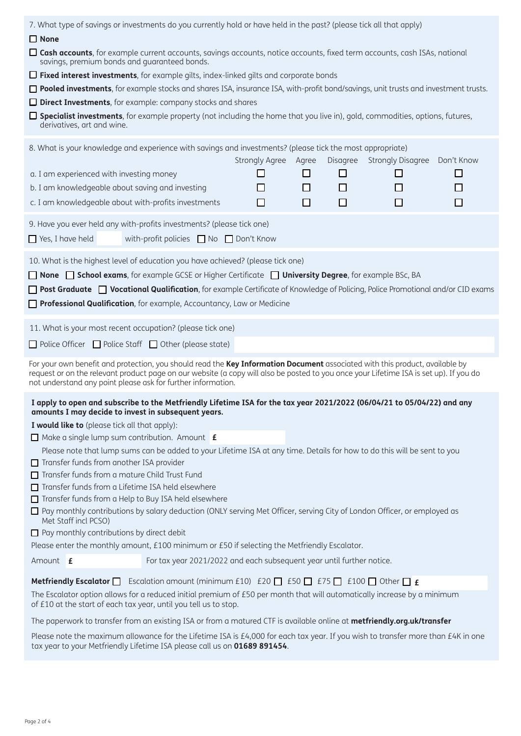| 7. What type of savings or investments do you currently hold or have held in the past? (please tick all that apply)                                                                                                                                                                                                                    |                                                                       |                      |   |          |                          |            |
|----------------------------------------------------------------------------------------------------------------------------------------------------------------------------------------------------------------------------------------------------------------------------------------------------------------------------------------|-----------------------------------------------------------------------|----------------------|---|----------|--------------------------|------------|
| $\Box$ None                                                                                                                                                                                                                                                                                                                            |                                                                       |                      |   |          |                          |            |
| □ Cash accounts, for example current accounts, savings accounts, notice accounts, fixed term accounts, cash ISAs, national<br>savings, premium bonds and quaranteed bonds.                                                                                                                                                             |                                                                       |                      |   |          |                          |            |
| $\Box$ Fixed interest investments, for example gilts, index-linked gilts and corporate bonds                                                                                                                                                                                                                                           |                                                                       |                      |   |          |                          |            |
| □ Pooled investments, for example stocks and shares ISA, insurance ISA, with-profit bond/savings, unit trusts and investment trusts.                                                                                                                                                                                                   |                                                                       |                      |   |          |                          |            |
| $\Box$ Direct Investments, for example: company stocks and shares                                                                                                                                                                                                                                                                      |                                                                       |                      |   |          |                          |            |
| $\Box$ Specialist investments, for example property (not including the home that you live in), gold, commodities, options, futures,<br>derivatives, art and wine.                                                                                                                                                                      |                                                                       |                      |   |          |                          |            |
| 8. What is your knowledge and experience with savings and investments? (please tick the most appropriate)                                                                                                                                                                                                                              |                                                                       |                      |   |          |                          |            |
|                                                                                                                                                                                                                                                                                                                                        |                                                                       | Strongly Agree Agree |   | Disagree | <b>Strongly Disagree</b> | Don't Know |
| a. I am experienced with investing money                                                                                                                                                                                                                                                                                               |                                                                       | ш                    | □ | □        | $\Box$                   | □          |
| b. I am knowledgeable about saving and investing                                                                                                                                                                                                                                                                                       |                                                                       | ΙI                   | □ | L        | $\Box$                   | □          |
| c. I am knowledgeable about with-profits investments                                                                                                                                                                                                                                                                                   |                                                                       | □                    | ◻ | $\Box$   | $\Box$                   | □          |
| 9. Have you ever held any with-profits investments? (please tick one)                                                                                                                                                                                                                                                                  |                                                                       |                      |   |          |                          |            |
| $\Box$ Yes, I have held                                                                                                                                                                                                                                                                                                                | with-profit policies ■ No ■ Don't Know                                |                      |   |          |                          |            |
| 10. What is the highest level of education you have achieved? (please tick one)                                                                                                                                                                                                                                                        |                                                                       |                      |   |          |                          |            |
| □ None □ School exams, for example GCSE or Higher Certificate □ University Degree, for example BSc, BA                                                                                                                                                                                                                                 |                                                                       |                      |   |          |                          |            |
| <b>Post Graduate</b> D <b>Vocational Qualification</b> , for example Certificate of Knowledge of Policing, Police Promotional and/or CID exams                                                                                                                                                                                         |                                                                       |                      |   |          |                          |            |
| Professional Qualification, for example, Accountancy, Law or Medicine                                                                                                                                                                                                                                                                  |                                                                       |                      |   |          |                          |            |
|                                                                                                                                                                                                                                                                                                                                        |                                                                       |                      |   |          |                          |            |
| 11. What is your most recent occupation? (please tick one)                                                                                                                                                                                                                                                                             |                                                                       |                      |   |          |                          |            |
| $\Box$ Police Officer $\Box$ Police Staff $\Box$ Other (please state)                                                                                                                                                                                                                                                                  |                                                                       |                      |   |          |                          |            |
| For your own benefit and protection, you should read the Key Information Document associated with this product, available by<br>request or on the relevant product page on our website (a copy will also be posted to you once your Lifetime ISA is set up). If you do<br>not understand any point please ask for further information. |                                                                       |                      |   |          |                          |            |
| I apply to open and subscribe to the Metfriendly Lifetime ISA for the tax year 2021/2022 (06/04/21 to 05/04/22) and any                                                                                                                                                                                                                |                                                                       |                      |   |          |                          |            |
| amounts I may decide to invest in subsequent years.                                                                                                                                                                                                                                                                                    |                                                                       |                      |   |          |                          |            |
| I would like to (please tick all that apply):                                                                                                                                                                                                                                                                                          |                                                                       |                      |   |          |                          |            |
| $\Box$ Make a single lump sum contribution. Amount $\mathbf f$                                                                                                                                                                                                                                                                         |                                                                       |                      |   |          |                          |            |
| Please note that lump sums can be added to your Lifetime ISA at any time. Details for how to do this will be sent to you<br>Transfer funds from another ISA provider                                                                                                                                                                   |                                                                       |                      |   |          |                          |            |
| □ Transfer funds from a mature Child Trust Fund                                                                                                                                                                                                                                                                                        |                                                                       |                      |   |          |                          |            |
| Transfer funds from a Lifetime ISA held elsewhere                                                                                                                                                                                                                                                                                      |                                                                       |                      |   |          |                          |            |
| Transfer funds from a Help to Buy ISA held elsewhere                                                                                                                                                                                                                                                                                   |                                                                       |                      |   |          |                          |            |
| □ Pay monthly contributions by salary deduction (ONLY serving Met Officer, serving City of London Officer, or employed as<br>Met Staff incl PCSO)                                                                                                                                                                                      |                                                                       |                      |   |          |                          |            |
| $\Box$ Pay monthly contributions by direct debit                                                                                                                                                                                                                                                                                       |                                                                       |                      |   |          |                          |            |
| Please enter the monthly amount, £100 minimum or £50 if selecting the Metfriendly Escalator.                                                                                                                                                                                                                                           |                                                                       |                      |   |          |                          |            |
| Amount <b>£</b>                                                                                                                                                                                                                                                                                                                        | For tax year 2021/2022 and each subsequent year until further notice. |                      |   |          |                          |            |
| Escalation amount (minimum £10) $f(20 \cap 550 \cap 575 \cap 5100 \cap 575)$<br>Metfriendly Escalator $\square$                                                                                                                                                                                                                        |                                                                       |                      |   |          |                          |            |
| The Escalator option allows for a reduced initial premium of £50 per month that will automatically increase by a minimum<br>of £10 at the start of each tax year, until you tell us to stop.                                                                                                                                           |                                                                       |                      |   |          |                          |            |
| The paperwork to transfer from an existing ISA or from a matured CTF is available online at metfriendly.org.uk/transfer                                                                                                                                                                                                                |                                                                       |                      |   |          |                          |            |
| Please note the maximum allowance for the Lifetime ISA is £4,000 for each tax year. If you wish to transfer more than £4K in one<br>tax year to your Metfriendly Lifetime ISA please call us on 01689 891454.                                                                                                                          |                                                                       |                      |   |          |                          |            |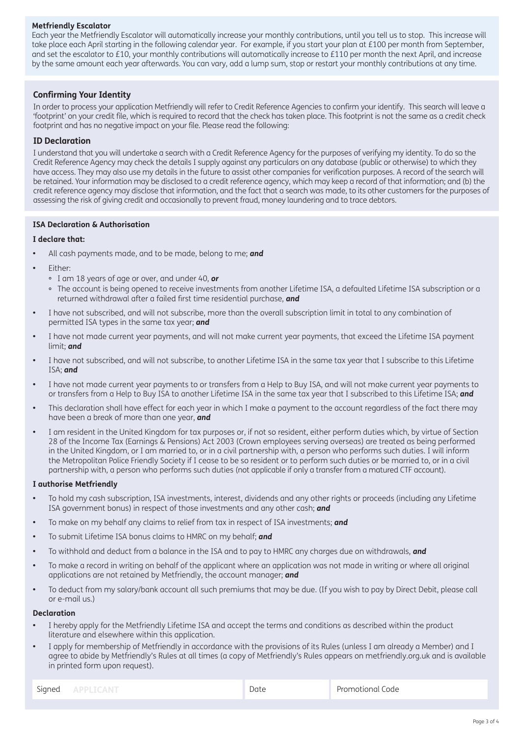### **Metfriendly Escalator**

Each year the Metfriendly Escalator will automatically increase your monthly contributions, until you tell us to stop. This increase will take place each April starting in the following calendar year. For example, if you start your plan at £100 per month from September, and set the escalator to £10, your monthly contributions will automatically increase to £110 per month the next April, and increase by the same amount each year afterwards. You can vary, add a lump sum, stop or restart your monthly contributions at any time.

## **Confirming Your Identity**

In order to process your application Metfriendly will refer to Credit Reference Agencies to confirm your identify. This search will leave a 'footprint' on your credit file, which is required to record that the check has taken place. This footprint is not the same as a credit check footprint and has no negative impact on your file. Please read the following:

## **ID Declaration**

I understand that you will undertake a search with a Credit Reference Agency for the purposes of verifying my identity. To do so the Credit Reference Agency may check the details I supply against any particulars on any database (public or otherwise) to which they have access. They may also use my details in the future to assist other companies for verification purposes. A record of the search will be retained. Your information may be disclosed to a credit reference agency, which may keep a record of that information; and (b) the credit reference agency may disclose that information, and the fact that a search was made, to its other customers for the purposes of assessing the risk of giving credit and occasionally to prevent fraud, money laundering and to trace debtors.

# **ISA Declaration & Authorisation**

#### **I declare that:**

- **•** All cash payments made, and to be made, belong to me; *and*
- **•** Either:
	- I am 18 years of age or over, and under 40, *or*
	- The account is being opened to receive investments from another Lifetime ISA, a defaulted Lifetime ISA subscription or a returned withdrawal after a failed first time residential purchase, *and*
- **•** I have not subscribed, and will not subscribe, more than the overall subscription limit in total to any combination of permitted ISA types in the same tax year; *and*
- **•** I have not made current year payments, and will not make current year payments, that exceed the Lifetime ISA payment limit; *and*
- **•** I have not subscribed, and will not subscribe, to another Lifetime ISA in the same tax year that I subscribe to this Lifetime ISA; *and*
- **•** I have not made current year payments to or transfers from a Help to Buy ISA, and will not make current year payments to or transfers from a Help to Buy ISA to another Lifetime ISA in the same tax year that I subscribed to this Lifetime ISA; *and*
- **•** This declaration shall have effect for each year in which I make a payment to the account regardless of the fact there may have been a break of more than one year, *and*
- **•** I am resident in the United Kingdom for tax purposes or, if not so resident, either perform duties which, by virtue of Section 28 of the Income Tax (Earnings & Pensions) Act 2003 (Crown employees serving overseas) are treated as being performed in the United Kingdom, or I am married to, or in a civil partnership with, a person who performs such duties. I will inform the Metropolitan Police Friendly Society if I cease to be so resident or to perform such duties or be married to, or in a civil partnership with, a person who performs such duties (not applicable if only a transfer from a matured CTF account).

#### **I authorise Metfriendly**

- **•** To hold my cash subscription, ISA investments, interest, dividends and any other rights or proceeds (including any Lifetime ISA government bonus) in respect of those investments and any other cash; *and*
- **•** To make on my behalf any claims to relief from tax in respect of ISA investments; *and*
- **•** To submit Lifetime ISA bonus claims to HMRC on my behalf; *and*
- **•** To withhold and deduct from a balance in the ISA and to pay to HMRC any charges due on withdrawals, *and*
- **•** To make a record in writing on behalf of the applicant where an application was not made in writing or where all original applications are not retained by Metfriendly, the account manager; *and*
- **•** To deduct from my salary/bank account all such premiums that may be due. (If you wish to pay by Direct Debit, please call or e-mail us.)

#### **Declaration**

- I hereby apply for the Metfriendly Lifetime ISA and accept the terms and conditions as described within the product literature and elsewhere within this application.
- I apply for membership of Metfriendly in accordance with the provisions of its Rules (unless I am already a Member) and I agree to abide by Metfriendly's Rules at all times (a copy of Metfriendly's Rules appears on metfriendly.org.uk and is available in printed form upon request).

| Signed | APPLICANT |
|--------|-----------|
|--------|-----------|